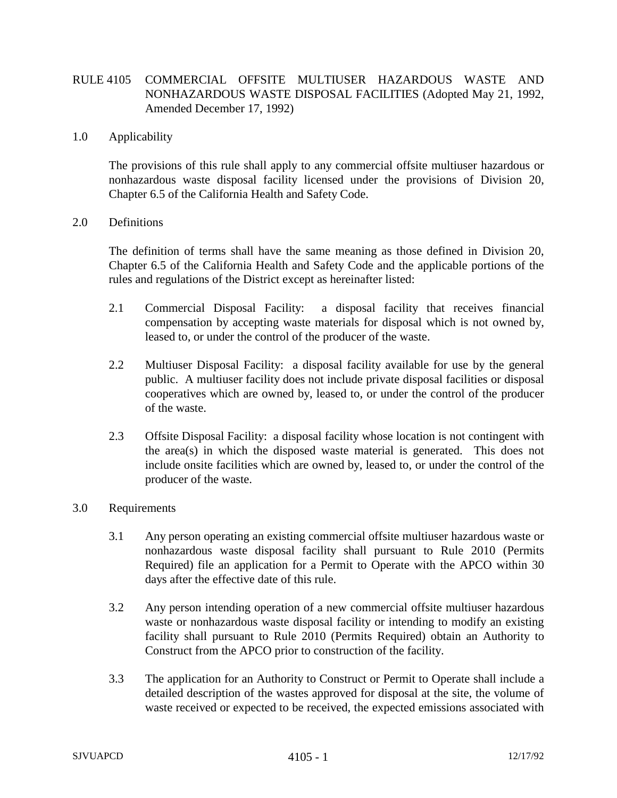# RULE 4105 COMMERCIAL OFFSITE MULTIUSER HAZARDOUS WASTE AND NONHAZARDOUS WASTE DISPOSAL FACILITIES (Adopted May 21, 1992, Amended December 17, 1992)

### 1.0 Applicability

The provisions of this rule shall apply to any commercial offsite multiuser hazardous or nonhazardous waste disposal facility licensed under the provisions of Division 20, Chapter 6.5 of the California Health and Safety Code.

#### 2.0 Definitions

The definition of terms shall have the same meaning as those defined in Division 20, Chapter 6.5 of the California Health and Safety Code and the applicable portions of the rules and regulations of the District except as hereinafter listed:

- 2.1 Commercial Disposal Facility: a disposal facility that receives financial compensation by accepting waste materials for disposal which is not owned by, leased to, or under the control of the producer of the waste.
- 2.2 Multiuser Disposal Facility: a disposal facility available for use by the general public. A multiuser facility does not include private disposal facilities or disposal cooperatives which are owned by, leased to, or under the control of the producer of the waste.
- 2.3 Offsite Disposal Facility: a disposal facility whose location is not contingent with the area(s) in which the disposed waste material is generated. This does not include onsite facilities which are owned by, leased to, or under the control of the producer of the waste.

### 3.0 Requirements

- 3.1 Any person operating an existing commercial offsite multiuser hazardous waste or nonhazardous waste disposal facility shall pursuant to Rule 2010 (Permits Required) file an application for a Permit to Operate with the APCO within 30 days after the effective date of this rule.
- 3.2 Any person intending operation of a new commercial offsite multiuser hazardous waste or nonhazardous waste disposal facility or intending to modify an existing facility shall pursuant to Rule 2010 (Permits Required) obtain an Authority to Construct from the APCO prior to construction of the facility.
- 3.3 The application for an Authority to Construct or Permit to Operate shall include a detailed description of the wastes approved for disposal at the site, the volume of waste received or expected to be received, the expected emissions associated with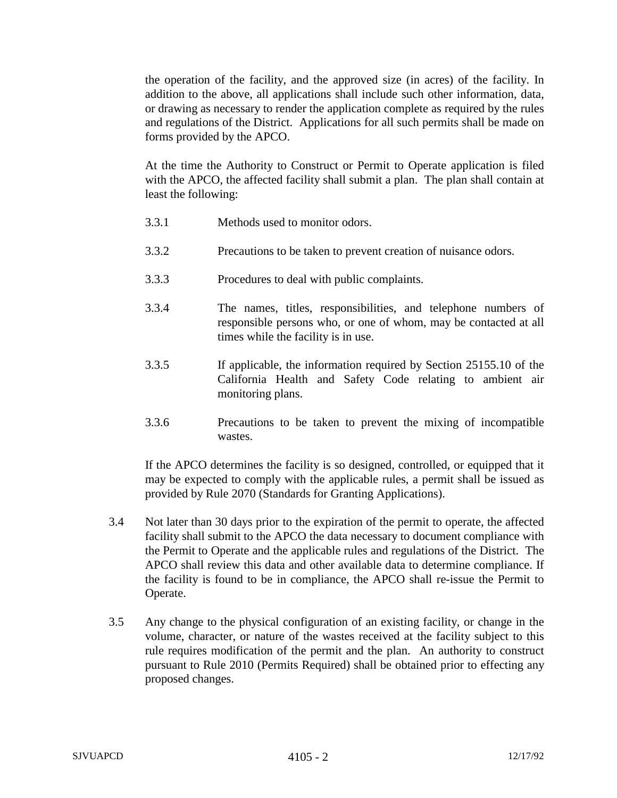the operation of the facility, and the approved size (in acres) of the facility. In addition to the above, all applications shall include such other information, data, or drawing as necessary to render the application complete as required by the rules and regulations of the District. Applications for all such permits shall be made on forms provided by the APCO.

At the time the Authority to Construct or Permit to Operate application is filed with the APCO, the affected facility shall submit a plan. The plan shall contain at least the following:

- 3.3.1 Methods used to monitor odors.
- 3.3.2 Precautions to be taken to prevent creation of nuisance odors.
- 3.3.3 Procedures to deal with public complaints.
- 3.3.4 The names, titles, responsibilities, and telephone numbers of responsible persons who, or one of whom, may be contacted at all times while the facility is in use.
- 3.3.5 If applicable, the information required by Section 25155.10 of the California Health and Safety Code relating to ambient air monitoring plans.
- 3.3.6 Precautions to be taken to prevent the mixing of incompatible wastes.

If the APCO determines the facility is so designed, controlled, or equipped that it may be expected to comply with the applicable rules, a permit shall be issued as provided by Rule 2070 (Standards for Granting Applications).

- 3.4 Not later than 30 days prior to the expiration of the permit to operate, the affected facility shall submit to the APCO the data necessary to document compliance with the Permit to Operate and the applicable rules and regulations of the District. The APCO shall review this data and other available data to determine compliance. If the facility is found to be in compliance, the APCO shall re-issue the Permit to Operate.
- 3.5 Any change to the physical configuration of an existing facility, or change in the volume, character, or nature of the wastes received at the facility subject to this rule requires modification of the permit and the plan. An authority to construct pursuant to Rule 2010 (Permits Required) shall be obtained prior to effecting any proposed changes.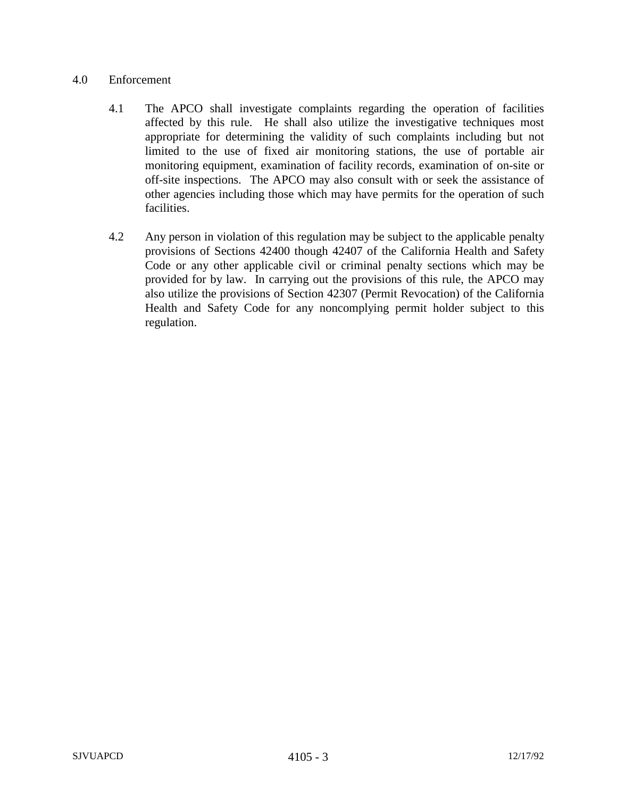## 4.0 Enforcement

- 4.1 The APCO shall investigate complaints regarding the operation of facilities affected by this rule. He shall also utilize the investigative techniques most appropriate for determining the validity of such complaints including but not limited to the use of fixed air monitoring stations, the use of portable air monitoring equipment, examination of facility records, examination of on-site or off-site inspections. The APCO may also consult with or seek the assistance of other agencies including those which may have permits for the operation of such facilities.
- 4.2 Any person in violation of this regulation may be subject to the applicable penalty provisions of Sections 42400 though 42407 of the California Health and Safety Code or any other applicable civil or criminal penalty sections which may be provided for by law. In carrying out the provisions of this rule, the APCO may also utilize the provisions of Section 42307 (Permit Revocation) of the California Health and Safety Code for any noncomplying permit holder subject to this regulation.